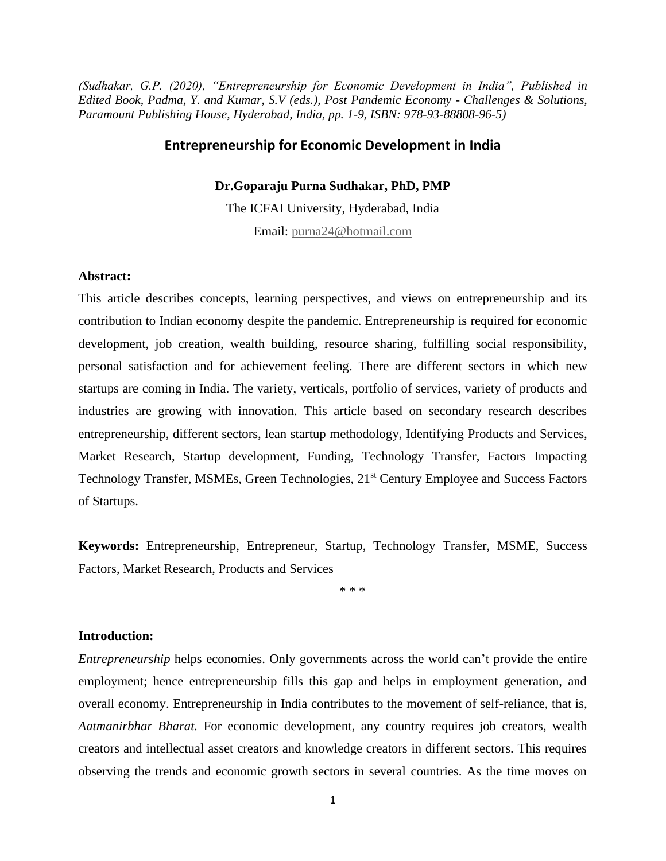*(Sudhakar, G.P. (2020), "Entrepreneurship for Economic Development in India", Published in Edited Book, Padma, Y. and Kumar, S.V (eds.), Post Pandemic Economy - Challenges & Solutions, Paramount Publishing House, Hyderabad, India, pp. 1-9, ISBN: 978-93-88808-96-5)*

### **Entrepreneurship for Economic Development in India**

### **Dr.Goparaju Purna Sudhakar, PhD, PMP**

The ICFAI University, Hyderabad, India Email: [purna24@hotmail.com](mailto:purna24@hotmail.com)

### **Abstract:**

This article describes concepts, learning perspectives, and views on entrepreneurship and its contribution to Indian economy despite the pandemic. Entrepreneurship is required for economic development, job creation, wealth building, resource sharing, fulfilling social responsibility, personal satisfaction and for achievement feeling. There are different sectors in which new startups are coming in India. The variety, verticals, portfolio of services, variety of products and industries are growing with innovation. This article based on secondary research describes entrepreneurship, different sectors, lean startup methodology, Identifying Products and Services, Market Research, Startup development, Funding, Technology Transfer, Factors Impacting Technology Transfer, MSMEs, Green Technologies, 21<sup>st</sup> Century Employee and Success Factors of Startups.

**Keywords:** Entrepreneurship, Entrepreneur, Startup, Technology Transfer, MSME, Success Factors, Market Research, Products and Services

\* \* \*

### **Introduction:**

*Entrepreneurship* helps economies. Only governments across the world can't provide the entire employment; hence entrepreneurship fills this gap and helps in employment generation, and overall economy. Entrepreneurship in India contributes to the movement of self-reliance, that is, *Aatmanirbhar Bharat.* For economic development, any country requires job creators, wealth creators and intellectual asset creators and knowledge creators in different sectors. This requires observing the trends and economic growth sectors in several countries. As the time moves on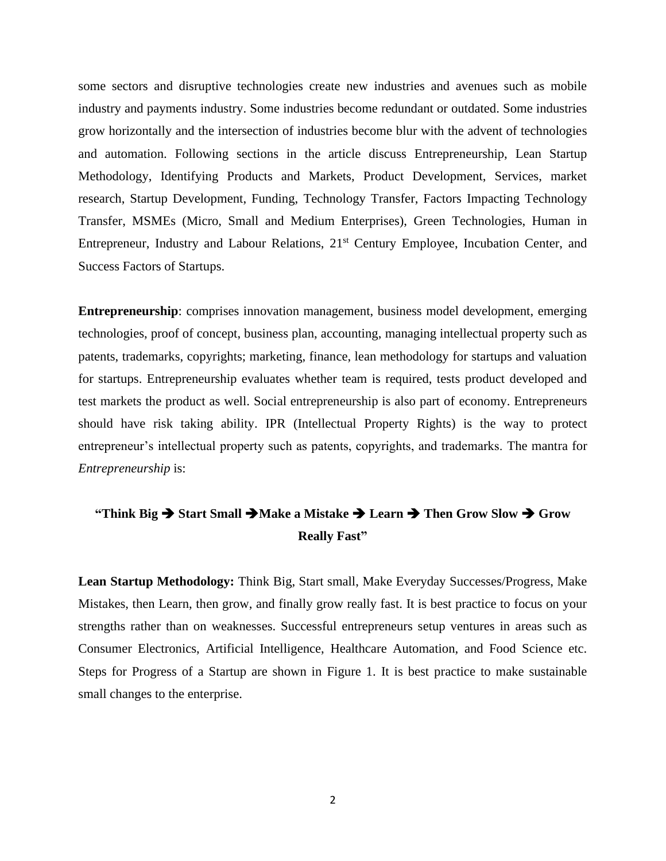some sectors and disruptive technologies create new industries and avenues such as mobile industry and payments industry. Some industries become redundant or outdated. Some industries grow horizontally and the intersection of industries become blur with the advent of technologies and automation. Following sections in the article discuss Entrepreneurship, Lean Startup Methodology, Identifying Products and Markets, Product Development, Services, market research, Startup Development, Funding, Technology Transfer, Factors Impacting Technology Transfer, MSMEs (Micro, Small and Medium Enterprises), Green Technologies, Human in Entrepreneur, Industry and Labour Relations, 21<sup>st</sup> Century Employee, Incubation Center, and Success Factors of Startups.

**Entrepreneurship**: comprises innovation management, business model development, emerging technologies, proof of concept, business plan, accounting, managing intellectual property such as patents, trademarks, copyrights; marketing, finance, lean methodology for startups and valuation for startups. Entrepreneurship evaluates whether team is required, tests product developed and test markets the product as well. Social entrepreneurship is also part of economy. Entrepreneurs should have risk taking ability. IPR (Intellectual Property Rights) is the way to protect entrepreneur's intellectual property such as patents, copyrights, and trademarks. The mantra for *Entrepreneurship* is:

# **"Think Big** ➔ **Start Small** ➔**Make a Mistake** ➔ **Learn** ➔ **Then Grow Slow** ➔ **Grow Really Fast"**

**Lean Startup Methodology:** Think Big, Start small, Make Everyday Successes/Progress, Make Mistakes, then Learn, then grow, and finally grow really fast. It is best practice to focus on your strengths rather than on weaknesses. Successful entrepreneurs setup ventures in areas such as Consumer Electronics, Artificial Intelligence, Healthcare Automation, and Food Science etc. Steps for Progress of a Startup are shown in Figure 1. It is best practice to make sustainable small changes to the enterprise.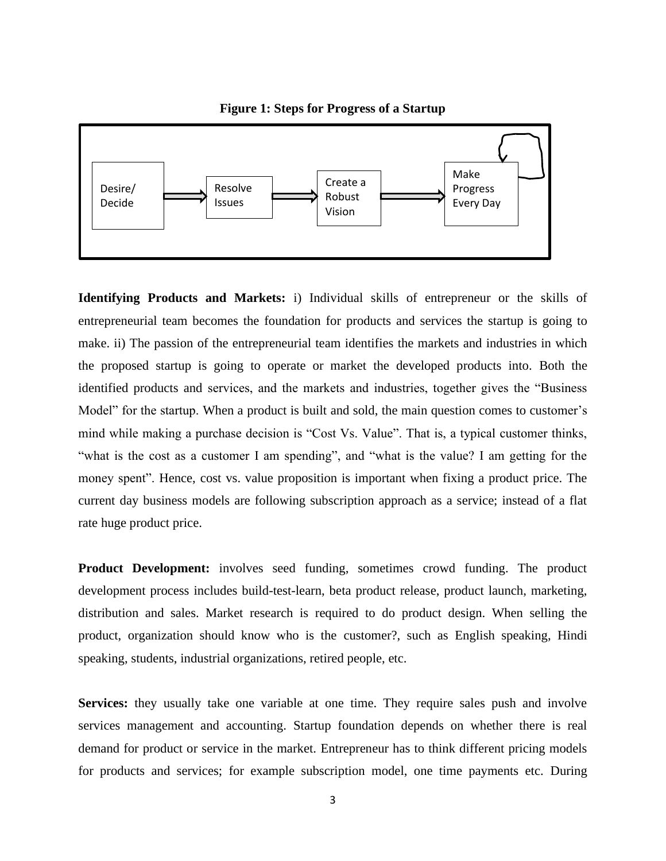

**Identifying Products and Markets:** i) Individual skills of entrepreneur or the skills of entrepreneurial team becomes the foundation for products and services the startup is going to make. ii) The passion of the entrepreneurial team identifies the markets and industries in which the proposed startup is going to operate or market the developed products into. Both the identified products and services, and the markets and industries, together gives the "Business Model" for the startup. When a product is built and sold, the main question comes to customer's mind while making a purchase decision is "Cost Vs. Value". That is, a typical customer thinks, "what is the cost as a customer I am spending", and "what is the value? I am getting for the money spent". Hence, cost vs. value proposition is important when fixing a product price. The current day business models are following subscription approach as a service; instead of a flat rate huge product price.

**Product Development:** involves seed funding, sometimes crowd funding. The product development process includes build-test-learn, beta product release, product launch, marketing, distribution and sales. Market research is required to do product design. When selling the product, organization should know who is the customer?, such as English speaking, Hindi speaking, students, industrial organizations, retired people, etc.

**Services:** they usually take one variable at one time. They require sales push and involve services management and accounting. Startup foundation depends on whether there is real demand for product or service in the market. Entrepreneur has to think different pricing models for products and services; for example subscription model, one time payments etc. During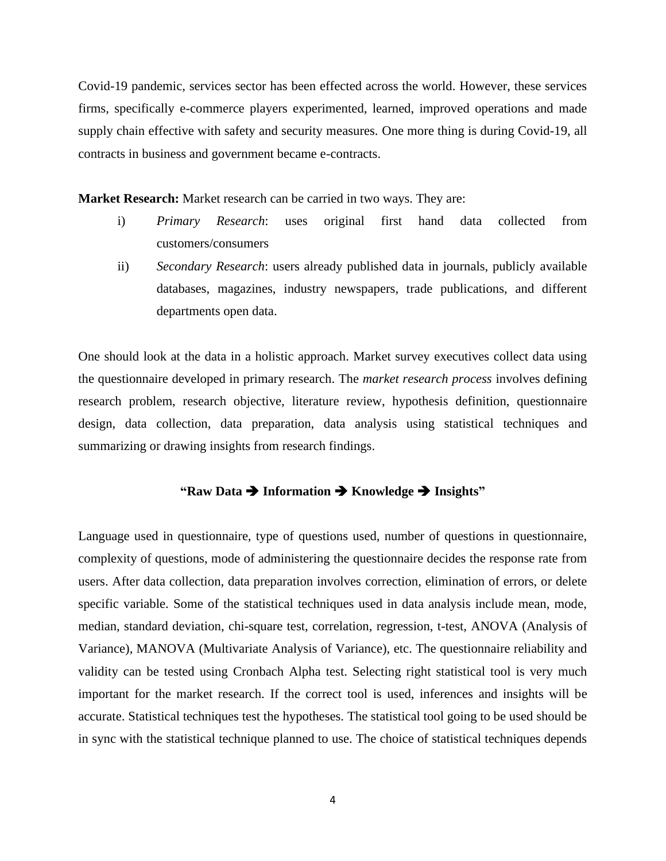Covid-19 pandemic, services sector has been effected across the world. However, these services firms, specifically e-commerce players experimented, learned, improved operations and made supply chain effective with safety and security measures. One more thing is during Covid-19, all contracts in business and government became e-contracts.

**Market Research:** Market research can be carried in two ways. They are:

- i) *Primary Research*: uses original first hand data collected from customers/consumers
- ii) *Secondary Research*: users already published data in journals, publicly available databases, magazines, industry newspapers, trade publications, and different departments open data.

One should look at the data in a holistic approach. Market survey executives collect data using the questionnaire developed in primary research. The *market research process* involves defining research problem, research objective, literature review, hypothesis definition, questionnaire design, data collection, data preparation, data analysis using statistical techniques and summarizing or drawing insights from research findings.

# **"Raw Data** ➔ **Information** ➔ **Knowledge** ➔ **Insights"**

Language used in questionnaire, type of questions used, number of questions in questionnaire, complexity of questions, mode of administering the questionnaire decides the response rate from users. After data collection, data preparation involves correction, elimination of errors, or delete specific variable. Some of the statistical techniques used in data analysis include mean, mode, median, standard deviation, chi-square test, correlation, regression, t-test, ANOVA (Analysis of Variance), MANOVA (Multivariate Analysis of Variance), etc. The questionnaire reliability and validity can be tested using Cronbach Alpha test. Selecting right statistical tool is very much important for the market research. If the correct tool is used, inferences and insights will be accurate. Statistical techniques test the hypotheses. The statistical tool going to be used should be in sync with the statistical technique planned to use. The choice of statistical techniques depends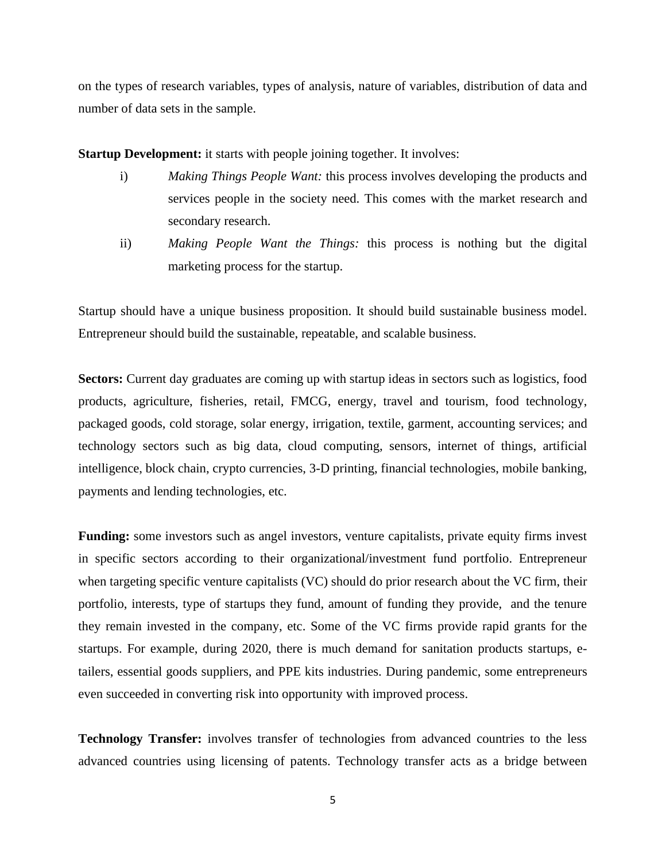on the types of research variables, types of analysis, nature of variables, distribution of data and number of data sets in the sample.

**Startup Development:** it starts with people joining together. It involves:

- i) *Making Things People Want:* this process involves developing the products and services people in the society need. This comes with the market research and secondary research.
- ii) *Making People Want the Things:* this process is nothing but the digital marketing process for the startup.

Startup should have a unique business proposition. It should build sustainable business model. Entrepreneur should build the sustainable, repeatable, and scalable business.

**Sectors:** Current day graduates are coming up with startup ideas in sectors such as logistics, food products, agriculture, fisheries, retail, FMCG, energy, travel and tourism, food technology, packaged goods, cold storage, solar energy, irrigation, textile, garment, accounting services; and technology sectors such as big data, cloud computing, sensors, internet of things, artificial intelligence, block chain, crypto currencies, 3-D printing, financial technologies, mobile banking, payments and lending technologies, etc.

**Funding:** some investors such as angel investors, venture capitalists, private equity firms invest in specific sectors according to their organizational/investment fund portfolio. Entrepreneur when targeting specific venture capitalists (VC) should do prior research about the VC firm, their portfolio, interests, type of startups they fund, amount of funding they provide, and the tenure they remain invested in the company, etc. Some of the VC firms provide rapid grants for the startups. For example, during 2020, there is much demand for sanitation products startups, etailers, essential goods suppliers, and PPE kits industries. During pandemic, some entrepreneurs even succeeded in converting risk into opportunity with improved process.

**Technology Transfer:** involves transfer of technologies from advanced countries to the less advanced countries using licensing of patents. Technology transfer acts as a bridge between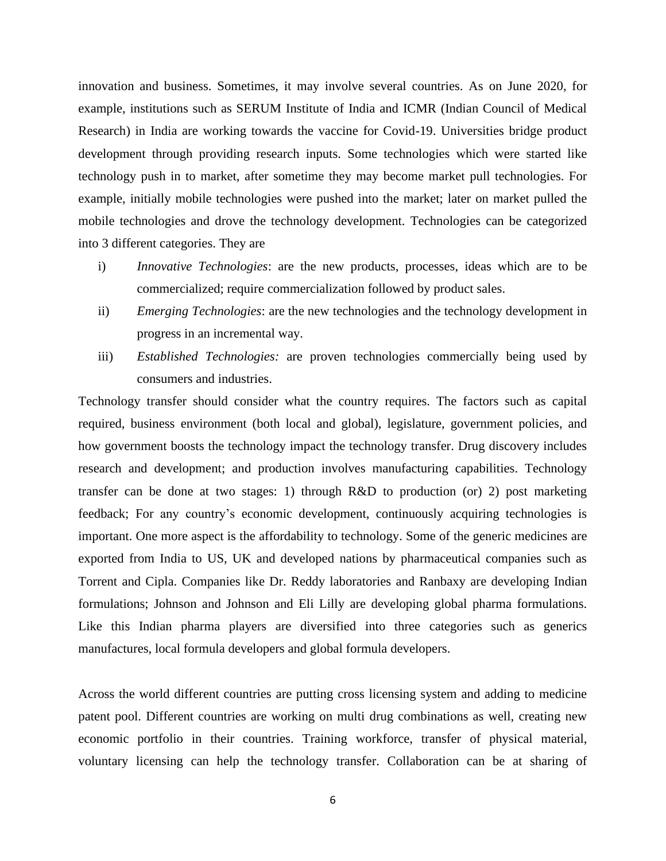innovation and business. Sometimes, it may involve several countries. As on June 2020, for example, institutions such as SERUM Institute of India and ICMR (Indian Council of Medical Research) in India are working towards the vaccine for Covid-19. Universities bridge product development through providing research inputs. Some technologies which were started like technology push in to market, after sometime they may become market pull technologies. For example, initially mobile technologies were pushed into the market; later on market pulled the mobile technologies and drove the technology development. Technologies can be categorized into 3 different categories. They are

- i) *Innovative Technologies*: are the new products, processes, ideas which are to be commercialized; require commercialization followed by product sales.
- ii) *Emerging Technologies*: are the new technologies and the technology development in progress in an incremental way.
- iii) *Established Technologies:* are proven technologies commercially being used by consumers and industries.

Technology transfer should consider what the country requires. The factors such as capital required, business environment (both local and global), legislature, government policies, and how government boosts the technology impact the technology transfer. Drug discovery includes research and development; and production involves manufacturing capabilities. Technology transfer can be done at two stages: 1) through R&D to production (or) 2) post marketing feedback; For any country's economic development, continuously acquiring technologies is important. One more aspect is the affordability to technology. Some of the generic medicines are exported from India to US, UK and developed nations by pharmaceutical companies such as Torrent and Cipla. Companies like Dr. Reddy laboratories and Ranbaxy are developing Indian formulations; Johnson and Johnson and Eli Lilly are developing global pharma formulations. Like this Indian pharma players are diversified into three categories such as generics manufactures, local formula developers and global formula developers.

Across the world different countries are putting cross licensing system and adding to medicine patent pool. Different countries are working on multi drug combinations as well, creating new economic portfolio in their countries. Training workforce, transfer of physical material, voluntary licensing can help the technology transfer. Collaboration can be at sharing of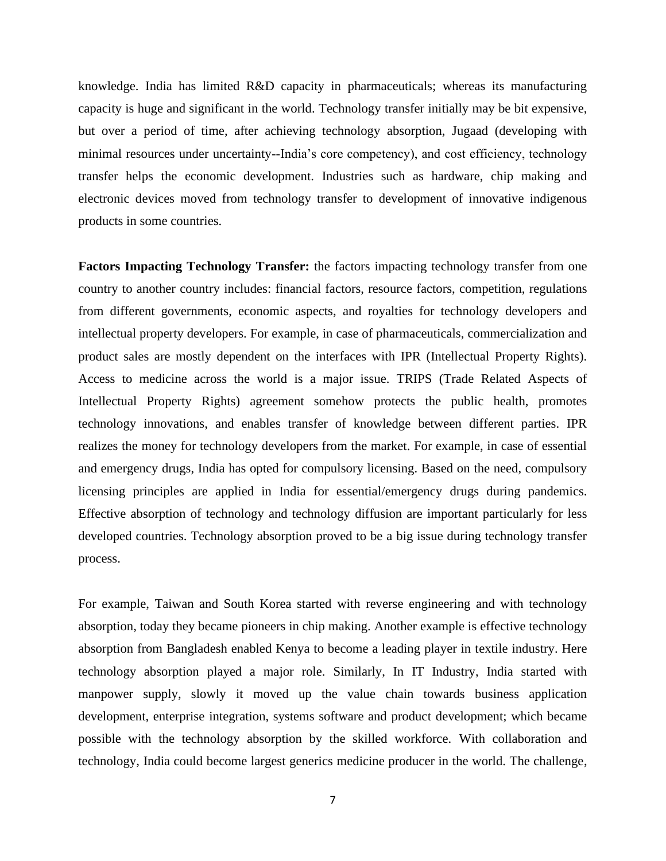knowledge. India has limited R&D capacity in pharmaceuticals; whereas its manufacturing capacity is huge and significant in the world. Technology transfer initially may be bit expensive, but over a period of time, after achieving technology absorption, Jugaad (developing with minimal resources under uncertainty--India's core competency), and cost efficiency, technology transfer helps the economic development. Industries such as hardware, chip making and electronic devices moved from technology transfer to development of innovative indigenous products in some countries.

**Factors Impacting Technology Transfer:** the factors impacting technology transfer from one country to another country includes: financial factors, resource factors, competition, regulations from different governments, economic aspects, and royalties for technology developers and intellectual property developers. For example, in case of pharmaceuticals, commercialization and product sales are mostly dependent on the interfaces with IPR (Intellectual Property Rights). Access to medicine across the world is a major issue. TRIPS (Trade Related Aspects of Intellectual Property Rights) agreement somehow protects the public health, promotes technology innovations, and enables transfer of knowledge between different parties. IPR realizes the money for technology developers from the market. For example, in case of essential and emergency drugs, India has opted for compulsory licensing. Based on the need, compulsory licensing principles are applied in India for essential/emergency drugs during pandemics. Effective absorption of technology and technology diffusion are important particularly for less developed countries. Technology absorption proved to be a big issue during technology transfer process.

For example, Taiwan and South Korea started with reverse engineering and with technology absorption, today they became pioneers in chip making. Another example is effective technology absorption from Bangladesh enabled Kenya to become a leading player in textile industry. Here technology absorption played a major role. Similarly, In IT Industry, India started with manpower supply, slowly it moved up the value chain towards business application development, enterprise integration, systems software and product development; which became possible with the technology absorption by the skilled workforce. With collaboration and technology, India could become largest generics medicine producer in the world. The challenge,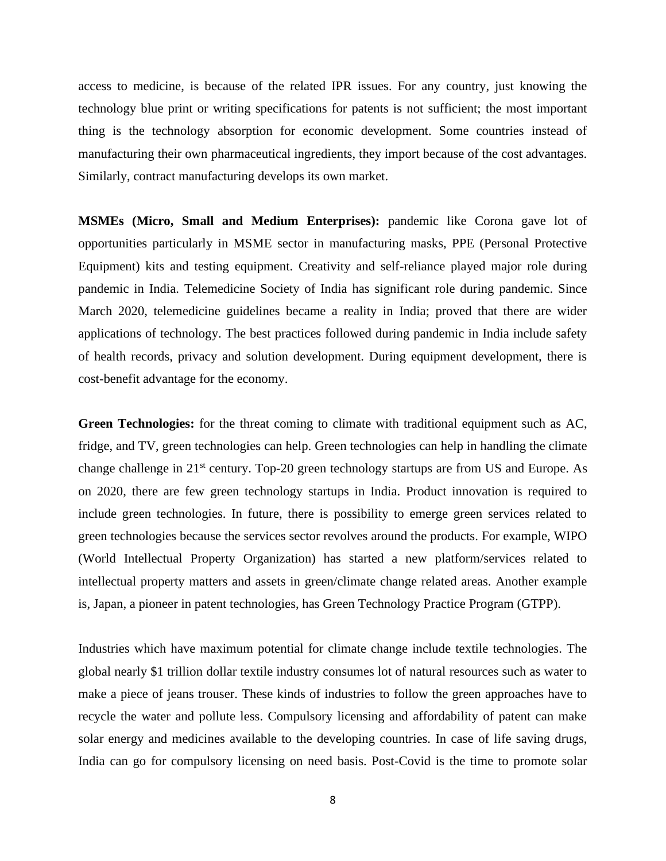access to medicine, is because of the related IPR issues. For any country, just knowing the technology blue print or writing specifications for patents is not sufficient; the most important thing is the technology absorption for economic development. Some countries instead of manufacturing their own pharmaceutical ingredients, they import because of the cost advantages. Similarly, contract manufacturing develops its own market.

**MSMEs (Micro, Small and Medium Enterprises):** pandemic like Corona gave lot of opportunities particularly in MSME sector in manufacturing masks, PPE (Personal Protective Equipment) kits and testing equipment. Creativity and self-reliance played major role during pandemic in India. Telemedicine Society of India has significant role during pandemic. Since March 2020, telemedicine guidelines became a reality in India; proved that there are wider applications of technology. The best practices followed during pandemic in India include safety of health records, privacy and solution development. During equipment development, there is cost-benefit advantage for the economy.

**Green Technologies:** for the threat coming to climate with traditional equipment such as AC, fridge, and TV, green technologies can help. Green technologies can help in handling the climate change challenge in 21<sup>st</sup> century. Top-20 green technology startups are from US and Europe. As on 2020, there are few green technology startups in India. Product innovation is required to include green technologies. In future, there is possibility to emerge green services related to green technologies because the services sector revolves around the products. For example, WIPO (World Intellectual Property Organization) has started a new platform/services related to intellectual property matters and assets in green/climate change related areas. Another example is, Japan, a pioneer in patent technologies, has Green Technology Practice Program (GTPP).

Industries which have maximum potential for climate change include textile technologies. The global nearly \$1 trillion dollar textile industry consumes lot of natural resources such as water to make a piece of jeans trouser. These kinds of industries to follow the green approaches have to recycle the water and pollute less. Compulsory licensing and affordability of patent can make solar energy and medicines available to the developing countries. In case of life saving drugs, India can go for compulsory licensing on need basis. Post-Covid is the time to promote solar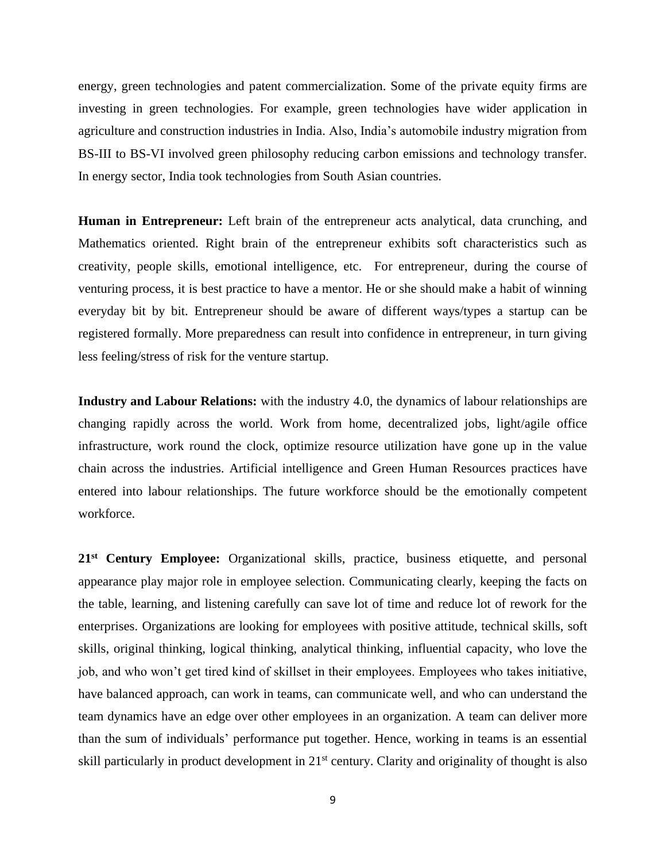energy, green technologies and patent commercialization. Some of the private equity firms are investing in green technologies. For example, green technologies have wider application in agriculture and construction industries in India. Also, India's automobile industry migration from BS-III to BS-VI involved green philosophy reducing carbon emissions and technology transfer. In energy sector, India took technologies from South Asian countries.

**Human in Entrepreneur:** Left brain of the entrepreneur acts analytical, data crunching, and Mathematics oriented. Right brain of the entrepreneur exhibits soft characteristics such as creativity, people skills, emotional intelligence, etc. For entrepreneur, during the course of venturing process, it is best practice to have a mentor. He or she should make a habit of winning everyday bit by bit. Entrepreneur should be aware of different ways/types a startup can be registered formally. More preparedness can result into confidence in entrepreneur, in turn giving less feeling/stress of risk for the venture startup.

**Industry and Labour Relations:** with the industry 4.0, the dynamics of labour relationships are changing rapidly across the world. Work from home, decentralized jobs, light/agile office infrastructure, work round the clock, optimize resource utilization have gone up in the value chain across the industries. Artificial intelligence and Green Human Resources practices have entered into labour relationships. The future workforce should be the emotionally competent workforce.

21<sup>st</sup> Century Employee: Organizational skills, practice, business etiquette, and personal appearance play major role in employee selection. Communicating clearly, keeping the facts on the table, learning, and listening carefully can save lot of time and reduce lot of rework for the enterprises. Organizations are looking for employees with positive attitude, technical skills, soft skills, original thinking, logical thinking, analytical thinking, influential capacity, who love the job, and who won't get tired kind of skillset in their employees. Employees who takes initiative, have balanced approach, can work in teams, can communicate well, and who can understand the team dynamics have an edge over other employees in an organization. A team can deliver more than the sum of individuals' performance put together. Hence, working in teams is an essential skill particularly in product development in 21<sup>st</sup> century. Clarity and originality of thought is also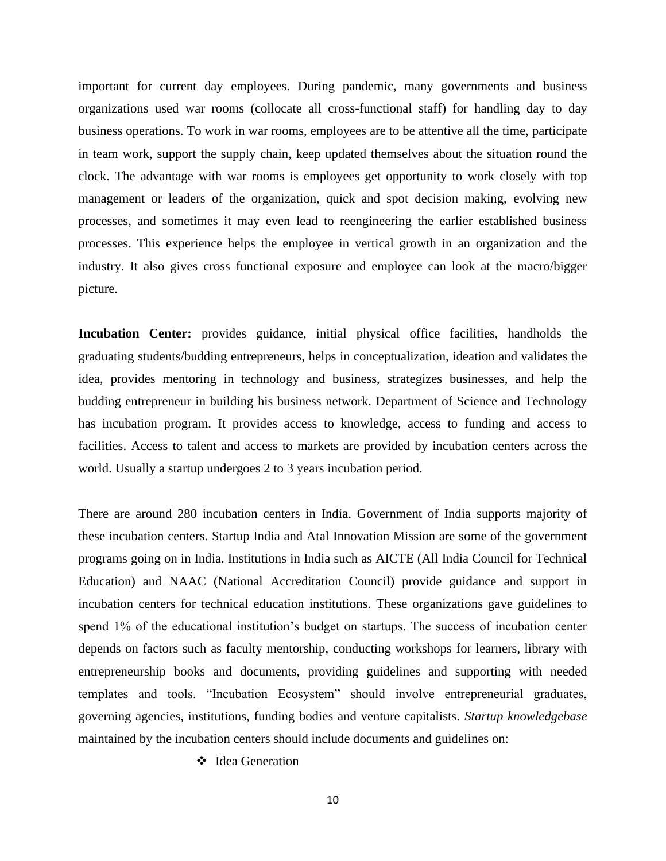important for current day employees. During pandemic, many governments and business organizations used war rooms (collocate all cross-functional staff) for handling day to day business operations. To work in war rooms, employees are to be attentive all the time, participate in team work, support the supply chain, keep updated themselves about the situation round the clock. The advantage with war rooms is employees get opportunity to work closely with top management or leaders of the organization, quick and spot decision making, evolving new processes, and sometimes it may even lead to reengineering the earlier established business processes. This experience helps the employee in vertical growth in an organization and the industry. It also gives cross functional exposure and employee can look at the macro/bigger picture.

Incubation Center: provides guidance, initial physical office facilities, handholds the graduating students/budding entrepreneurs, helps in conceptualization, ideation and validates the idea, provides mentoring in technology and business, strategizes businesses, and help the budding entrepreneur in building his business network. Department of Science and Technology has incubation program. It provides access to knowledge, access to funding and access to facilities. Access to talent and access to markets are provided by incubation centers across the world. Usually a startup undergoes 2 to 3 years incubation period.

There are around 280 incubation centers in India. Government of India supports majority of these incubation centers. Startup India and Atal Innovation Mission are some of the government programs going on in India. Institutions in India such as AICTE (All India Council for Technical Education) and NAAC (National Accreditation Council) provide guidance and support in incubation centers for technical education institutions. These organizations gave guidelines to spend 1% of the educational institution's budget on startups. The success of incubation center depends on factors such as faculty mentorship, conducting workshops for learners, library with entrepreneurship books and documents, providing guidelines and supporting with needed templates and tools. "Incubation Ecosystem" should involve entrepreneurial graduates, governing agencies, institutions, funding bodies and venture capitalists. *Startup knowledgebase*  maintained by the incubation centers should include documents and guidelines on:

❖ Idea Generation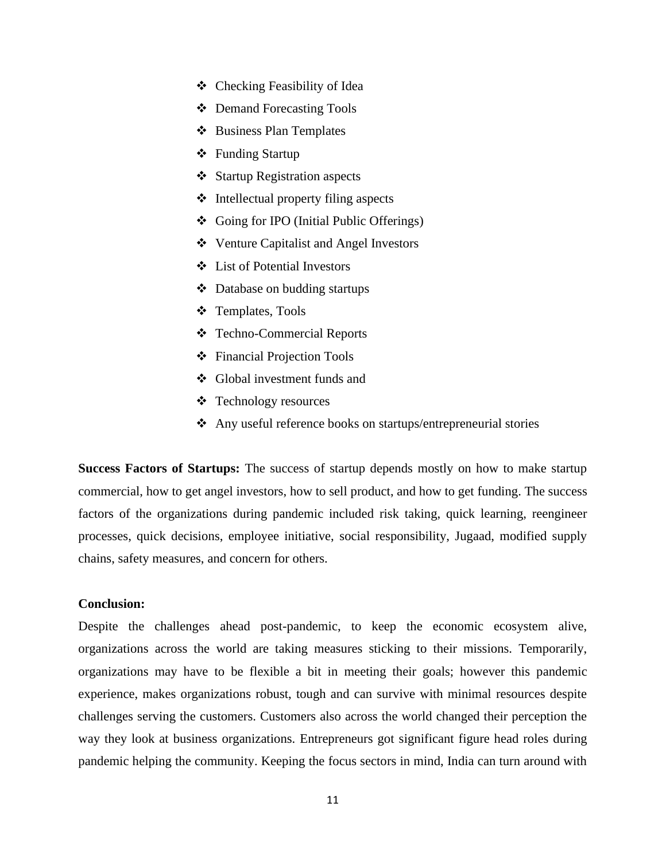- ❖ Checking Feasibility of Idea
- ❖ Demand Forecasting Tools
- ❖ Business Plan Templates
- ❖ Funding Startup
- ❖ Startup Registration aspects
- ❖ Intellectual property filing aspects
- ❖ Going for IPO (Initial Public Offerings)
- ❖ Venture Capitalist and Angel Investors
- ❖ List of Potential Investors
- ❖ Database on budding startups
- ❖ Templates, Tools
- ❖ Techno-Commercial Reports
- ❖ Financial Projection Tools
- ❖ Global investment funds and
- ❖ Technology resources
- ❖ Any useful reference books on startups/entrepreneurial stories

**Success Factors of Startups:** The success of startup depends mostly on how to make startup commercial, how to get angel investors, how to sell product, and how to get funding. The success factors of the organizations during pandemic included risk taking, quick learning, reengineer processes, quick decisions, employee initiative, social responsibility, Jugaad, modified supply chains, safety measures, and concern for others.

## **Conclusion:**

Despite the challenges ahead post-pandemic, to keep the economic ecosystem alive, organizations across the world are taking measures sticking to their missions. Temporarily, organizations may have to be flexible a bit in meeting their goals; however this pandemic experience, makes organizations robust, tough and can survive with minimal resources despite challenges serving the customers. Customers also across the world changed their perception the way they look at business organizations. Entrepreneurs got significant figure head roles during pandemic helping the community. Keeping the focus sectors in mind, India can turn around with